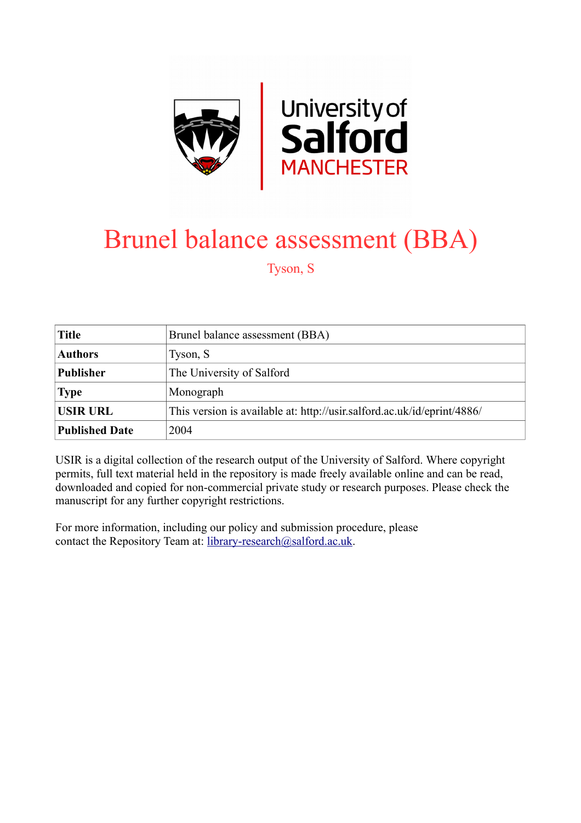

# Brunel balance assessment (BBA)

Tyson, S

| <b>Title</b>          | Brunel balance assessment (BBA)                                         |
|-----------------------|-------------------------------------------------------------------------|
| <b>Authors</b>        | Tyson, S                                                                |
| <b>Publisher</b>      | The University of Salford                                               |
| <b>Type</b>           | Monograph                                                               |
| <b>USIR URL</b>       | This version is available at: http://usir.salford.ac.uk/id/eprint/4886/ |
| <b>Published Date</b> | 2004                                                                    |

USIR is a digital collection of the research output of the University of Salford. Where copyright permits, full text material held in the repository is made freely available online and can be read, downloaded and copied for non-commercial private study or research purposes. Please check the manuscript for any further copyright restrictions.

For more information, including our policy and submission procedure, please contact the Repository Team at: [library-research@salford.ac.uk.](mailto:library-research@salford.ac.uk)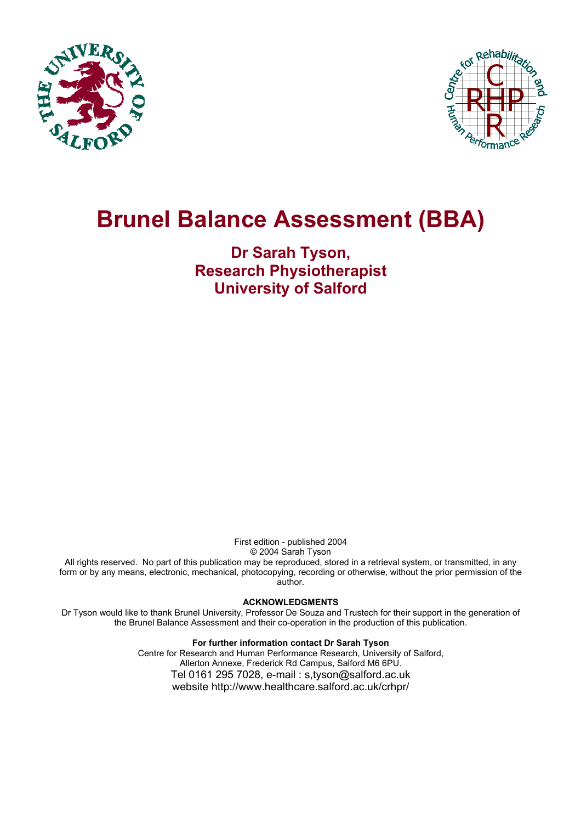



# **Brunel Balance Assessment (BBA)**

**Dr Sarah Tyson, Research Physiotherapist University of Salford** 

> First edition - published 2004 © 2004 Sarah Tyson

All rights reserved. No part of this publication may be reproduced, stored in a retrieval system, or transmitted, in any form or by any means, electronic, mechanical, photocopying, recording or otherwise, without the prior permission of the author.

#### **ACKNOWLEDGMENTS**

Dr Tyson would like to thank Brunel University, Professor De Souza and Trustech for their support in the generation of the Brunel Balance Assessment and their co-operation in the production of this publication.

> **For further information contact Dr Sarah Tyson**  Centre for Research and Human Performance Research, University of Salford, Allerton Annexe, Frederick Rd Campus, Salford M6 6PU. Tel 0161 295 7028, e-mail : s,tyson@salford.ac.uk website http://www.healthcare.salford.ac.uk/crhpr/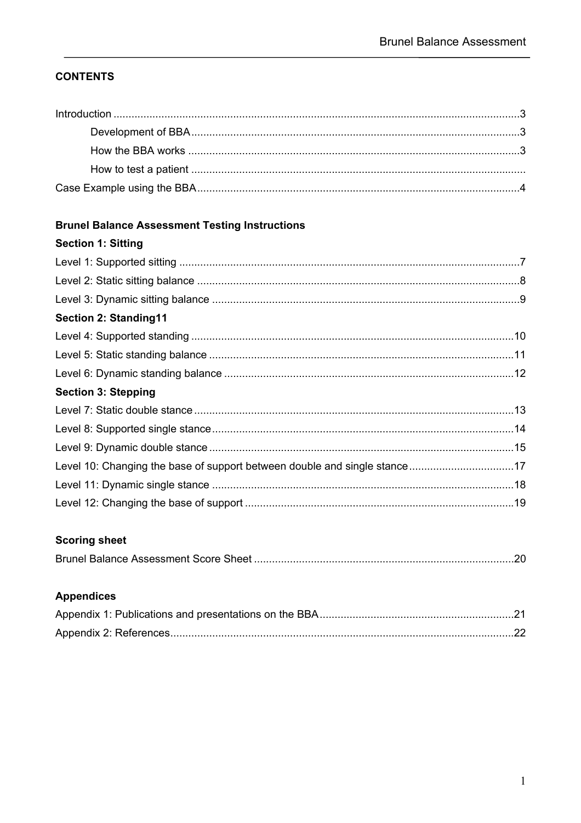## **CONTENTS**

# **Brunel Balance Assessment Testing Instructions**

# **Section 1: Sitting**

| <b>Section 2: Standing11</b>                                              |  |
|---------------------------------------------------------------------------|--|
|                                                                           |  |
|                                                                           |  |
|                                                                           |  |
| <b>Section 3: Stepping</b>                                                |  |
|                                                                           |  |
|                                                                           |  |
|                                                                           |  |
| Level 10: Changing the base of support between double and single stance17 |  |
|                                                                           |  |
|                                                                           |  |
|                                                                           |  |

## **Scoring sheet**

|--|--|

# **Appendices**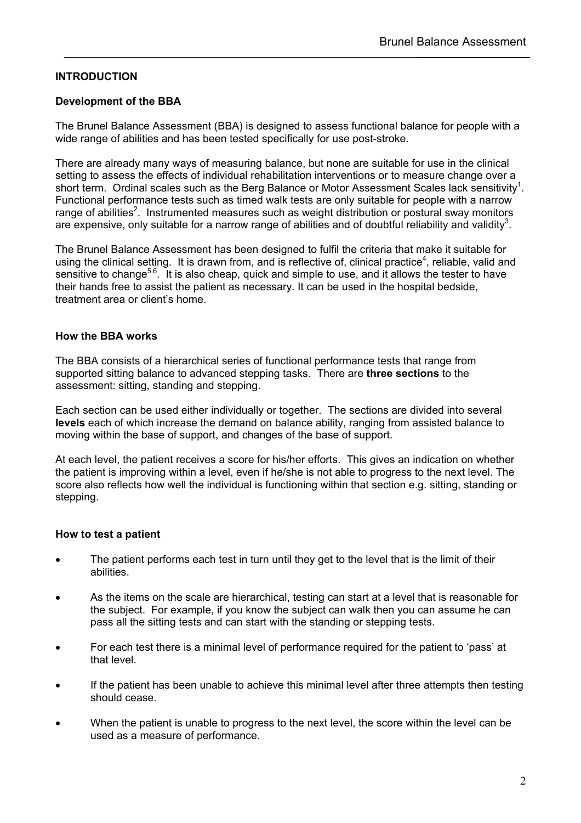## **INTRODUCTION**

#### **Development of the BBA**

The Brunel Balance Assessment (BBA) is designed to assess functional balance for people with a wide range of abilities and has been tested specifically for use post-stroke.

There are already many ways of measuring balance, but none are suitable for use in the clinical setting to assess the effects of individual rehabilitation interventions or to measure change over a short term. Ordinal scales such as the Berg Balance or Motor Assessment Scales lack sensitivity<sup>1</sup>. Functional performance tests such as timed walk tests are only suitable for people with a narrow range of abilities<sup>2</sup>. Instrumented measures such as weight distribution or postural sway monitors are expensive, only suitable for a narrow range of abilities and of doubtful reliability and validity<sup>3</sup>.

The Brunel Balance Assessment has been designed to fulfil the criteria that make it suitable for using the clinical setting. It is drawn from, and is reflective of, clinical practice<sup>4</sup>, reliable, valid and sensitive to change<sup>5,6</sup>. It is also cheap, quick and simple to use, and it allows the tester to have their hands free to assist the patient as necessary. It can be used in the hospital bedside, treatment area or client's home.

#### **How the BBA works**

The BBA consists of a hierarchical series of functional performance tests that range from supported sitting balance to advanced stepping tasks. There are **three sections** to the assessment: sitting, standing and stepping.

Each section can be used either individually or together. The sections are divided into several **levels** each of which increase the demand on balance ability, ranging from assisted balance to moving within the base of support, and changes of the base of support.

At each level, the patient receives a score for his/her efforts. This gives an indication on whether the patient is improving within a level, even if he/she is not able to progress to the next level. The score also reflects how well the individual is functioning within that section e.g. sitting, standing or stepping.

#### **How to test a patient**

- The patient performs each test in turn until they get to the level that is the limit of their abilities.
- As the items on the scale are hierarchical, testing can start at a level that is reasonable for the subject. For example, if you know the subject can walk then you can assume he can pass all the sitting tests and can start with the standing or stepping tests.
- For each test there is a minimal level of performance required for the patient to 'pass' at that level.
- If the patient has been unable to achieve this minimal level after three attempts then testing should cease.
- When the patient is unable to progress to the next level, the score within the level can be used as a measure of performance.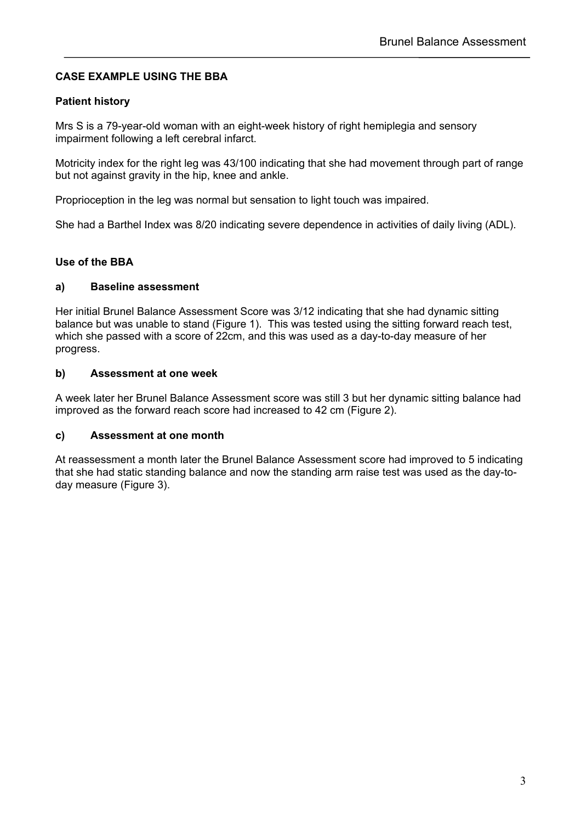## **CASE EXAMPLE USING THE BBA**

## **Patient history**

Mrs S is a 79-year-old woman with an eight-week history of right hemiplegia and sensory impairment following a left cerebral infarct.

Motricity index for the right leg was 43/100 indicating that she had movement through part of range but not against gravity in the hip, knee and ankle.

Proprioception in the leg was normal but sensation to light touch was impaired.

She had a Barthel Index was 8/20 indicating severe dependence in activities of daily living (ADL).

### **Use of the BBA**

#### **a) Baseline assessment**

Her initial Brunel Balance Assessment Score was 3/12 indicating that she had dynamic sitting balance but was unable to stand (Figure 1). This was tested using the sitting forward reach test, which she passed with a score of 22cm, and this was used as a day-to-day measure of her progress.

#### **b) Assessment at one week**

A week later her Brunel Balance Assessment score was still 3 but her dynamic sitting balance had improved as the forward reach score had increased to 42 cm (Figure 2).

#### **c) Assessment at one month**

At reassessment a month later the Brunel Balance Assessment score had improved to 5 indicating that she had static standing balance and now the standing arm raise test was used as the day-today measure (Figure 3).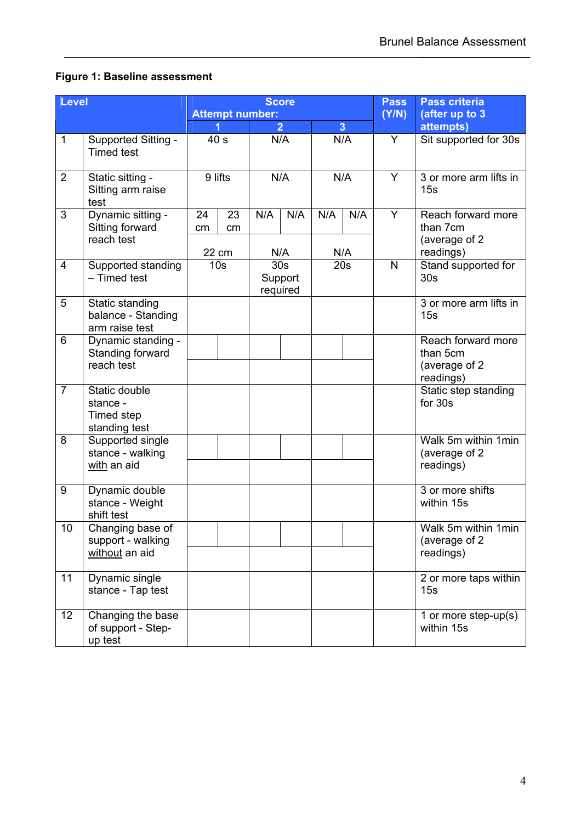# **Figure 1: Baseline assessment**

| <b>Level</b>   |                                                                 |                          |          |                                   | <b>Score</b>   | <b>Pass</b> | <b>Pass criteria</b> |                |                                                              |              |                                        |
|----------------|-----------------------------------------------------------------|--------------------------|----------|-----------------------------------|----------------|-------------|----------------------|----------------|--------------------------------------------------------------|--------------|----------------------------------------|
|                |                                                                 | <b>Attempt number:</b>   |          |                                   |                |             | (Y/N)                | (after up to 3 |                                                              |              |                                        |
|                |                                                                 |                          |          |                                   | $\overline{2}$ |             | $\overline{3}$       |                | attempts)                                                    |              |                                        |
| 1              | Supported Sitting -<br><b>Timed test</b>                        | 40 <sub>s</sub>          |          | N/A                               |                |             |                      | N/A            |                                                              | Y            | Sit supported for 30s                  |
| $\overline{2}$ | Static sitting -<br>Sitting arm raise<br>test                   | 9 lifts                  |          | N/A                               |                | N/A         |                      | Y              | 3 or more arm lifts in<br>15s                                |              |                                        |
| 3              | Dynamic sitting -<br>Sitting forward<br>reach test              | 24<br>cm                 | 23<br>cm | N/A                               | N/A            | N/A         | N/A<br>N/A           | Y              | Reach forward more<br>than 7cm<br>(average of 2<br>readings) |              |                                        |
| $\overline{4}$ | Supported standing<br>- Timed test                              | 22 cm<br>10 <sub>s</sub> |          | N/A<br>30 <sub>s</sub><br>Support |                | required    |                      | 20s            |                                                              | $\mathsf{N}$ | Stand supported for<br>30 <sub>s</sub> |
| 5              | Static standing<br>balance - Standing<br>arm raise test         |                          |          |                                   |                |             |                      |                | 3 or more arm lifts in<br>15s                                |              |                                        |
| 6              | Dynamic standing -<br>Standing forward<br>reach test            |                          |          |                                   |                |             |                      |                | Reach forward more<br>than 5cm<br>(average of 2<br>readings) |              |                                        |
| $\overline{7}$ | Static double<br>stance -<br><b>Timed step</b><br>standing test |                          |          |                                   |                |             |                      |                | Static step standing<br>for 30s                              |              |                                        |
| 8              | Supported single<br>stance - walking<br>with an aid             |                          |          |                                   |                |             |                      |                | Walk 5m within 1min<br>(average of 2<br>readings)            |              |                                        |
| 9              | Dynamic double<br>stance - Weight<br>shift test                 |                          |          |                                   |                |             |                      |                | 3 or more shifts<br>within 15s                               |              |                                        |
| 10             | Changing base of<br>support - walking<br>without an aid         |                          |          |                                   |                |             |                      |                | Walk 5m within 1min<br>(average of 2<br>readings)            |              |                                        |
| 11             | Dynamic single<br>stance - Tap test                             |                          |          |                                   |                |             |                      |                | 2 or more taps within<br>15s                                 |              |                                        |
| 12             | Changing the base<br>of support - Step-<br>up test              |                          |          |                                   |                |             |                      |                | 1 or more step-up(s)<br>within 15s                           |              |                                        |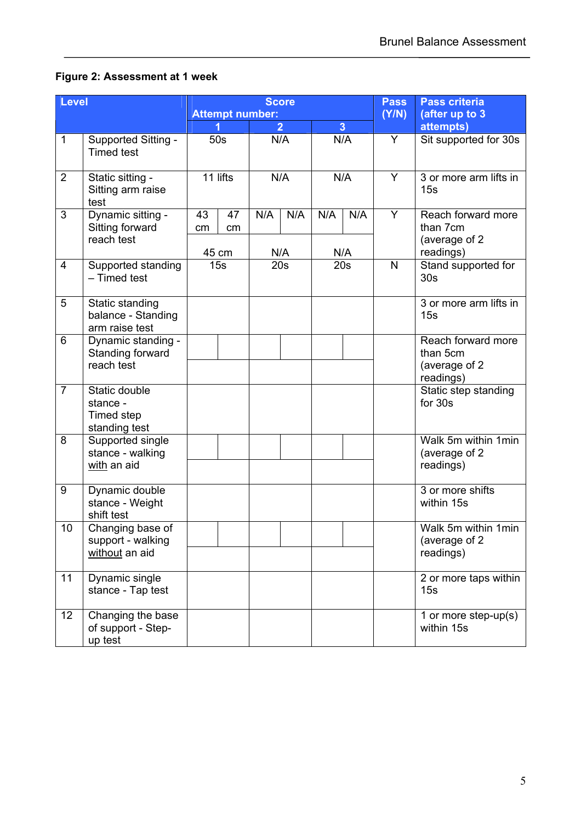# **Figure 2: Assessment at 1 week**

| <b>Level</b>   |                                                                 |                        |          |                            | <b>Score</b>   | <b>Pass</b> | <b>Pass criteria</b> |                            |                                                              |  |     |   |                       |  |  |     |  |   |                               |
|----------------|-----------------------------------------------------------------|------------------------|----------|----------------------------|----------------|-------------|----------------------|----------------------------|--------------------------------------------------------------|--|-----|---|-----------------------|--|--|-----|--|---|-------------------------------|
|                |                                                                 | <b>Attempt number:</b> |          |                            |                |             | (Y/N)                | (after up to 3             |                                                              |  |     |   |                       |  |  |     |  |   |                               |
|                |                                                                 |                        |          |                            | $\overline{2}$ |             | $\overline{3}$       |                            | attempts)                                                    |  |     |   |                       |  |  |     |  |   |                               |
| 1              | Supported Sitting -<br><b>Timed test</b>                        |                        |          |                            | 50s            |             | N/A                  |                            |                                                              |  | N/A | Y | Sit supported for 30s |  |  |     |  |   |                               |
| $\overline{2}$ | Static sitting -<br>Sitting arm raise<br>test                   | 11 lifts<br>N/A        |          |                            |                |             |                      |                            |                                                              |  |     |   |                       |  |  | N/A |  | Y | 3 or more arm lifts in<br>15s |
| 3              | Dynamic sitting -<br>Sitting forward<br>reach test              | 43<br>cm               | 47<br>cm | N/A                        | N/A            | N/A         | N/A                  | Y                          | Reach forward more<br>than 7cm<br>(average of 2<br>readings) |  |     |   |                       |  |  |     |  |   |                               |
| 4              | Supported standing<br>- Timed test                              | 15s<br>20s             |          | N/A<br>N/A<br>45 cm<br>20s |                |             | $\mathsf{N}$         | Stand supported for<br>30s |                                                              |  |     |   |                       |  |  |     |  |   |                               |
| 5              | Static standing<br>balance - Standing<br>arm raise test         |                        |          |                            |                |             |                      |                            | 3 or more arm lifts in<br>15s                                |  |     |   |                       |  |  |     |  |   |                               |
| 6              | Dynamic standing -<br>Standing forward<br>reach test            |                        |          |                            |                |             |                      |                            | Reach forward more<br>than 5cm<br>(average of 2<br>readings) |  |     |   |                       |  |  |     |  |   |                               |
| $\overline{7}$ | Static double<br>stance -<br><b>Timed step</b><br>standing test |                        |          |                            |                |             |                      |                            | Static step standing<br>for 30s                              |  |     |   |                       |  |  |     |  |   |                               |
| 8              | Supported single<br>stance - walking<br>with an aid             |                        |          |                            |                |             |                      |                            | Walk 5m within 1min<br>(average of 2<br>readings)            |  |     |   |                       |  |  |     |  |   |                               |
| 9              | Dynamic double<br>stance - Weight<br>shift test                 |                        |          |                            |                |             |                      |                            | 3 or more shifts<br>within 15s                               |  |     |   |                       |  |  |     |  |   |                               |
| 10             | Changing base of<br>support - walking<br>without an aid         |                        |          |                            |                |             |                      |                            | Walk 5m within 1min<br>(average of 2<br>readings)            |  |     |   |                       |  |  |     |  |   |                               |
| 11             | Dynamic single<br>stance - Tap test                             |                        |          |                            |                |             |                      |                            | 2 or more taps within<br>15s                                 |  |     |   |                       |  |  |     |  |   |                               |
| 12             | Changing the base<br>of support - Step-<br>up test              |                        |          |                            |                |             |                      |                            | 1 or more step-up(s)<br>within 15s                           |  |     |   |                       |  |  |     |  |   |                               |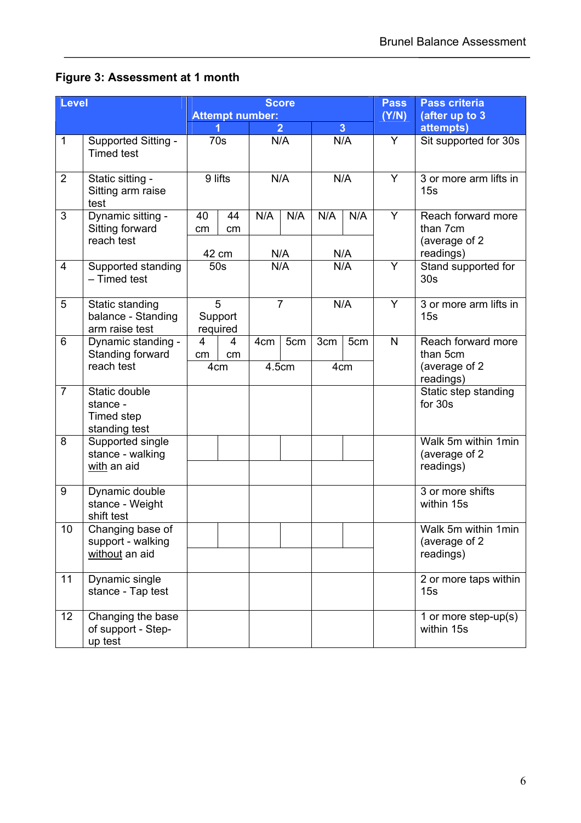# **Figure 3: Assessment at 1 month**

| <b>Level</b>   |                                                                 |                                                            |                |                 | <b>Score</b> | <b>Pass</b>                | Pass criteria         |                             |                                                  |   |                            |   |                               |  |     |   |                               |
|----------------|-----------------------------------------------------------------|------------------------------------------------------------|----------------|-----------------|--------------|----------------------------|-----------------------|-----------------------------|--------------------------------------------------|---|----------------------------|---|-------------------------------|--|-----|---|-------------------------------|
|                |                                                                 | <b>Attempt number:</b><br>$\overline{3}$<br>$\overline{2}$ |                |                 |              |                            | (Y/N)                 | (after up to 3<br>attempts) |                                                  |   |                            |   |                               |  |     |   |                               |
| $\mathbf{1}$   | Supported Sitting -                                             |                                                            |                | N/A<br>N/A      |              | Y                          | Sit supported for 30s |                             |                                                  |   |                            |   |                               |  |     |   |                               |
|                | <b>Timed test</b>                                               |                                                            |                |                 | 70s          |                            |                       |                             |                                                  |   |                            |   |                               |  |     |   |                               |
| $\overline{2}$ | Static sitting -<br>Sitting arm raise<br>test                   |                                                            | 9 lifts<br>N/A |                 |              |                            |                       |                             |                                                  |   | N/A                        | Y | 3 or more arm lifts in<br>15s |  |     |   |                               |
| 3              | Dynamic sitting -<br>Sitting forward<br>reach test              | 40<br>cm                                                   | 44<br>cm       | N/A             | N/A          | N/A                        | N/A                   | Y                           | Reach forward more<br>than 7cm<br>(average of 2) |   |                            |   |                               |  |     |   |                               |
|                |                                                                 |                                                            | 42 cm          |                 | N/A          |                            | N/A                   |                             | readings)                                        |   |                            |   |                               |  |     |   |                               |
| 4              | Supported standing<br>- Timed test                              | 50s                                                        |                | N/A             |              |                            |                       |                             | N/A                                              | Y | Stand supported for<br>30s |   |                               |  |     |   |                               |
| 5              | Static standing<br>balance - Standing<br>arm raise test         | 5<br>$\overline{7}$<br>Support<br>required                 |                |                 |              |                            |                       |                             |                                                  |   |                            |   |                               |  | N/A | Y | 3 or more arm lifts in<br>15s |
| 6              | Dynamic standing -                                              | 4                                                          | 4              | 4 <sub>cm</sub> | 5cm          | 3cm                        | 5cm                   | $\mathsf{N}$                | Reach forward more                               |   |                            |   |                               |  |     |   |                               |
|                | Standing forward                                                | cm                                                         | cm             |                 |              |                            |                       |                             | than 5cm                                         |   |                            |   |                               |  |     |   |                               |
|                | reach test                                                      | 4.5cm<br>4cm<br>4cm                                        |                |                 |              | (average of 2<br>readings) |                       |                             |                                                  |   |                            |   |                               |  |     |   |                               |
| $\overline{7}$ | Static double<br>stance -<br><b>Timed step</b><br>standing test |                                                            |                |                 |              |                            |                       |                             | Static step standing<br>for 30s                  |   |                            |   |                               |  |     |   |                               |
| 8              | Supported single                                                |                                                            |                |                 |              |                            |                       |                             | Walk 5m within 1min                              |   |                            |   |                               |  |     |   |                               |
|                | stance - walking<br>with an aid                                 |                                                            |                |                 |              |                            |                       |                             | (average of 2<br>readings)                       |   |                            |   |                               |  |     |   |                               |
| 9              | Dynamic double<br>stance - Weight<br>shift test                 |                                                            |                |                 |              |                            |                       |                             | 3 or more shifts<br>within 15s                   |   |                            |   |                               |  |     |   |                               |
| 10             | Changing base of<br>support - walking                           |                                                            |                |                 |              |                            |                       |                             | Walk 5m within 1min<br>(average of 2)            |   |                            |   |                               |  |     |   |                               |
|                | without an aid                                                  |                                                            |                |                 |              |                            |                       |                             | readings)                                        |   |                            |   |                               |  |     |   |                               |
| 11             | Dynamic single<br>stance - Tap test                             |                                                            |                |                 |              |                            |                       |                             | 2 or more taps within<br>15s                     |   |                            |   |                               |  |     |   |                               |
| 12             | Changing the base<br>of support - Step-<br>up test              |                                                            |                |                 |              |                            |                       |                             | 1 or more step-up(s)<br>within 15s               |   |                            |   |                               |  |     |   |                               |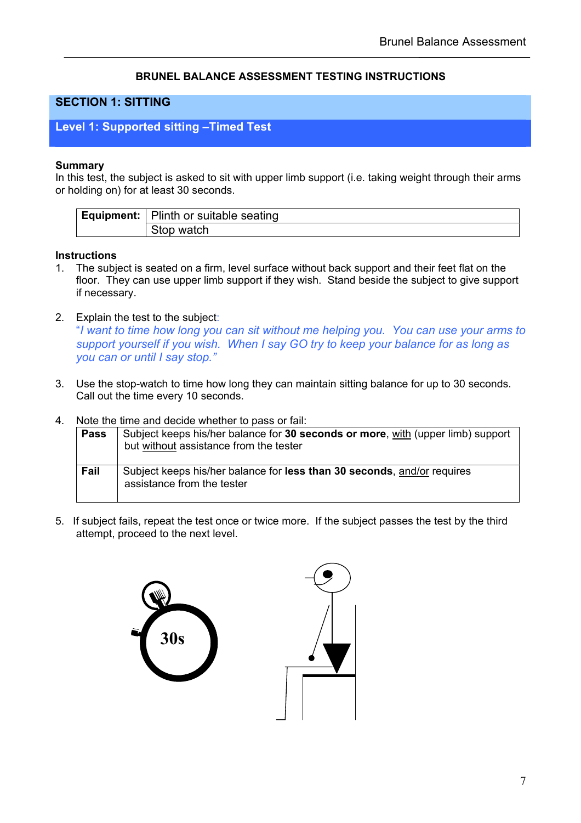### **BRUNEL BALANCE ASSESSMENT TESTING INSTRUCTIONS**

## **SECTION 1: SITTING**

## **Level 1: Supported sitting –Timed Test**

#### **Summary**

In this test, the subject is asked to sit with upper limb support (i.e. taking weight through their arms or holding on) for at least 30 seconds.

| <b>Equipment:</b>   Plinth or suitable seating |
|------------------------------------------------|
| Stop watch                                     |

#### **Instructions**

- 1. The subject is seated on a firm, level surface without back support and their feet flat on the floor. They can use upper limb support if they wish. Stand beside the subject to give support if necessary.
- 2. Explain the test to the subject:

"*I want to time how long you can sit without me helping you. You can use your arms to support yourself if you wish. When I say GO try to keep your balance for as long as you can or until I say stop."* 

- 3. Use the stop-watch to time how long they can maintain sitting balance for up to 30 seconds. Call out the time every 10 seconds.
- 4. Note the time and decide whether to pass or fail:

| <b>Pass</b> | Subject keeps his/her balance for 30 seconds or more, with (upper limb) support<br>but without assistance from the tester |
|-------------|---------------------------------------------------------------------------------------------------------------------------|
| Fail        | Subject keeps his/her balance for less than 30 seconds, and/or requires<br>assistance from the tester                     |

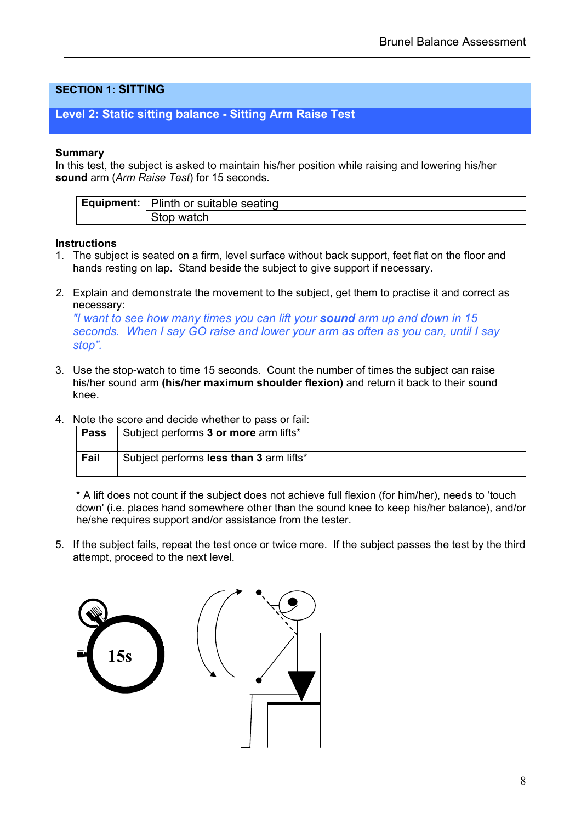## **SECTION 1: SITTING**

## **Level 2: Static sitting balance - Sitting Arm Raise Test**

#### **Summary**

In this test, the subject is asked to maintain his/her position while raising and lowering his/her **sound** arm (*Arm Raise Test*) for 15 seconds.

| <b>Equipment:</b>   Plinth or suitable seating |
|------------------------------------------------|
| Stop watch                                     |

#### **Instructions**

- 1. The subject is seated on a firm, level surface without back support, feet flat on the floor and hands resting on lap. Stand beside the subject to give support if necessary.
- *2.* Explain and demonstrate the movement to the subject, get them to practise it and correct as necessary:

*"I want to see how many times you can lift your sound arm up and down in 15 seconds. When I say GO raise and lower your arm as often as you can, until I say stop".*

- 3. Use the stop-watch to time 15 seconds. Count the number of times the subject can raise his/her sound arm **(his/her maximum shoulder flexion)** and return it back to their sound knee.
- 4. Note the score and decide whether to pass or fail:

| <b>Pass</b> | Subject performs 3 or more arm lifts*   |
|-------------|-----------------------------------------|
| Fail        | Subject performs less than 3 arm lifts* |

\* A lift does not count if the subject does not achieve full flexion (for him/her), needs to 'touch down' (i.e. places hand somewhere other than the sound knee to keep his/her balance), and/or he/she requires support and/or assistance from the tester.

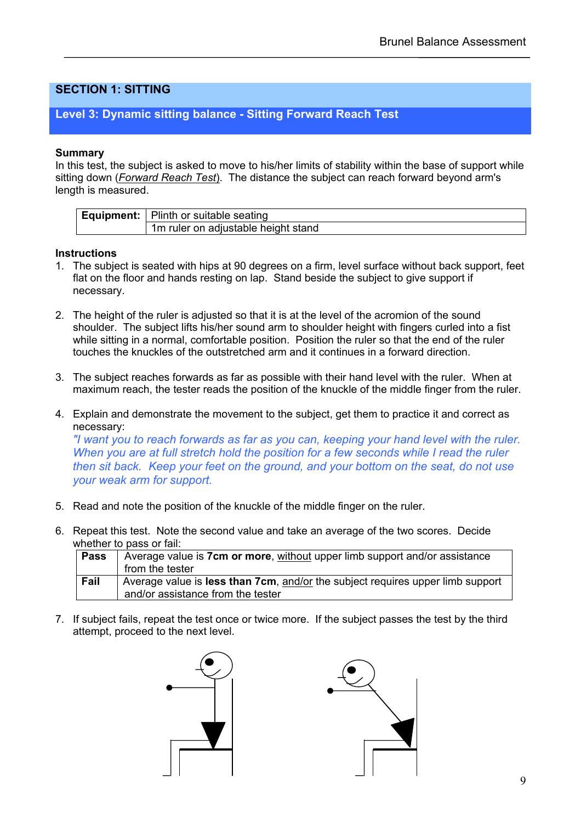## **SECTION 1: SITTING**

## **Level 3: Dynamic sitting balance - Sitting Forward Reach Test**

#### **Summary**

In this test, the subject is asked to move to his/her limits of stability within the base of support while sitting down (*Forward Reach Test*). The distance the subject can reach forward beyond arm's length is measured.

| <b>Equipment:</b>   Plinth or suitable seating |
|------------------------------------------------|
| 1m ruler on adjustable height stand            |

#### **Instructions**

- 1. The subject is seated with hips at 90 degrees on a firm, level surface without back support, feet flat on the floor and hands resting on lap. Stand beside the subject to give support if necessary.
- 2. The height of the ruler is adjusted so that it is at the level of the acromion of the sound shoulder. The subject lifts his/her sound arm to shoulder height with fingers curled into a fist while sitting in a normal, comfortable position. Position the ruler so that the end of the ruler touches the knuckles of the outstretched arm and it continues in a forward direction.
- 3. The subject reaches forwards as far as possible with their hand level with the ruler. When at maximum reach, the tester reads the position of the knuckle of the middle finger from the ruler.
- 4. Explain and demonstrate the movement to the subject, get them to practice it and correct as necessary:

*"I want you to reach forwards as far as you can, keeping your hand level with the ruler. When you are at full stretch hold the position for a few seconds while I read the ruler then sit back. Keep your feet on the ground, and your bottom on the seat, do not use your weak arm for support.* 

- 5. Read and note the position of the knuckle of the middle finger on the ruler.
- 6. Repeat this test. Note the second value and take an average of the two scores. Decide whether to pass or fail:

| Pass | Average value is 7cm or more, without upper limb support and/or assistance     |
|------|--------------------------------------------------------------------------------|
|      | from the tester                                                                |
| Fail | Average value is less than 7cm, and/or the subject requires upper limb support |
|      | and/or assistance from the tester                                              |

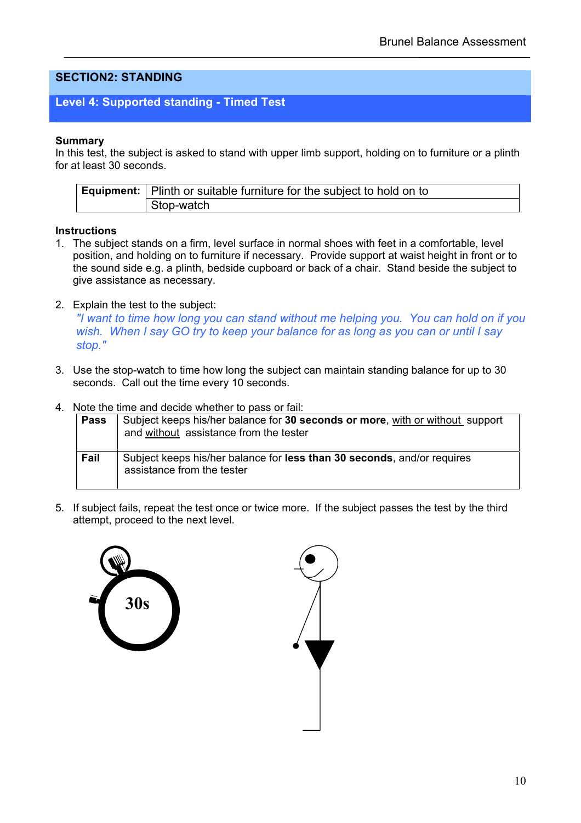## **SECTION2: STANDING**

## **Level 4: Supported standing - Timed Test**

#### **Summary**

In this test, the subject is asked to stand with upper limb support, holding on to furniture or a plinth for at least 30 seconds.

| Equipment:   Plinth or suitable furniture for the subject to hold on to |
|-------------------------------------------------------------------------|
| Stop-watch                                                              |

#### **Instructions**

- 1. The subject stands on a firm, level surface in normal shoes with feet in a comfortable, level position, and holding on to furniture if necessary. Provide support at waist height in front or to the sound side e.g. a plinth, bedside cupboard or back of a chair. Stand beside the subject to give assistance as necessary.
- 2. Explain the test to the subject:

*"I want to time how long you can stand without me helping you. You can hold on if you wish. When I say GO try to keep your balance for as long as you can or until I say stop."*

- 3. Use the stop-watch to time how long the subject can maintain standing balance for up to 30 seconds. Call out the time every 10 seconds.
- 4. Note the time and decide whether to pass or fail:

| Pass | Subject keeps his/her balance for 30 seconds or more, with or without support<br>and without assistance from the tester |
|------|-------------------------------------------------------------------------------------------------------------------------|
| Fail | Subject keeps his/her balance for less than 30 seconds, and/or requires<br>assistance from the tester                   |



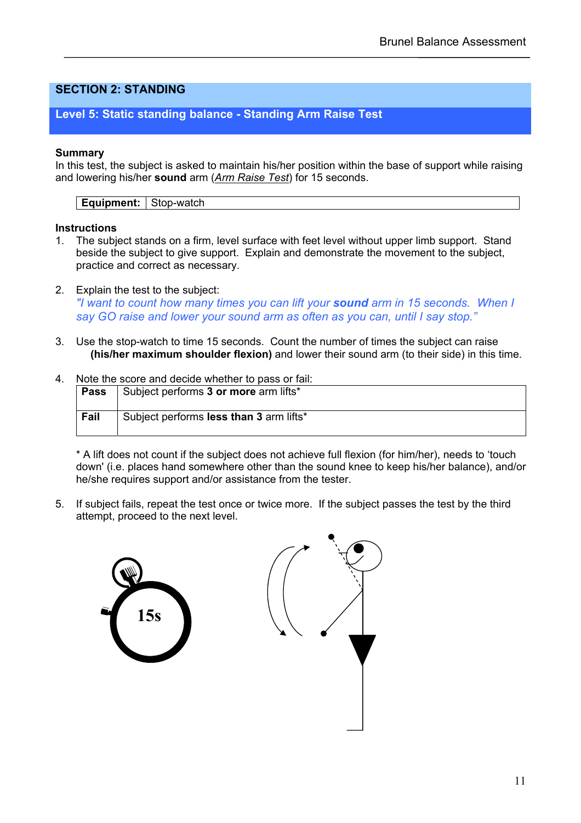## **SECTION 2: STANDING**

## **Level 5: Static standing balance - Standing Arm Raise Test**

#### **Summary**

In this test, the subject is asked to maintain his/her position within the base of support while raising and lowering his/her **sound** arm (*Arm Raise Test*) for 15 seconds.

**Equipment:** Stop-watch

#### **Instructions**

- 1. The subject stands on a firm, level surface with feet level without upper limb support. Stand beside the subject to give support. Explain and demonstrate the movement to the subject, practice and correct as necessary.
- 2. Explain the test to the subject: *"I want to count how many times you can lift your sound arm in 15 seconds. When I say GO raise and lower your sound arm as often as you can, until I say stop."*
- 3. Use the stop-watch to time 15 seconds. Count the number of times the subject can raise **(his/her maximum shoulder flexion)** and lower their sound arm (to their side) in this time.
- 4. Note the score and decide whether to pass or fail:

| Pass | Subject performs 3 or more arm lifts*   |
|------|-----------------------------------------|
| Fail | Subject performs less than 3 arm lifts* |

 \* A lift does not count if the subject does not achieve full flexion (for him/her), needs to 'touch down' (i.e. places hand somewhere other than the sound knee to keep his/her balance), and/or he/she requires support and/or assistance from the tester.

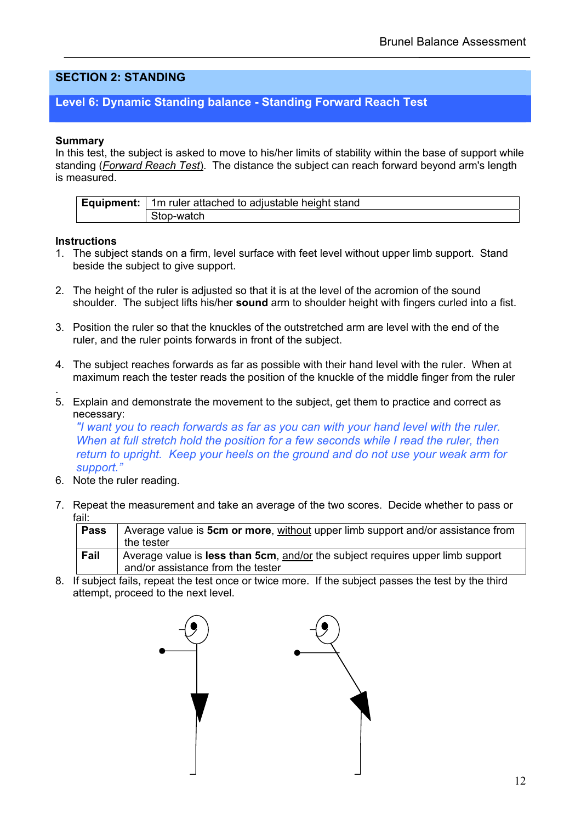## **SECTION 2: STANDING**

## **Level 6: Dynamic Standing balance - Standing Forward Reach Test**

#### **Summary**

In this test, the subject is asked to move to his/her limits of stability within the base of support while standing (*Forward Reach Test*). The distance the subject can reach forward beyond arm's length is measured.

| <b>Equipment:</b>   1m ruler attached to adjustable height stand |
|------------------------------------------------------------------|
| Stop-watch                                                       |

#### **Instructions**

- 1. The subject stands on a firm, level surface with feet level without upper limb support. Stand beside the subject to give support.
- 2. The height of the ruler is adjusted so that it is at the level of the acromion of the sound shoulder. The subject lifts his/her **sound** arm to shoulder height with fingers curled into a fist.
- 3. Position the ruler so that the knuckles of the outstretched arm are level with the end of the ruler, and the ruler points forwards in front of the subject.
- 4. The subject reaches forwards as far as possible with their hand level with the ruler. When at maximum reach the tester reads the position of the knuckle of the middle finger from the ruler
- . 5. Explain and demonstrate the movement to the subject, get them to practice and correct as necessary:

*"I want you to reach forwards as far as you can with your hand level with the ruler. When at full stretch hold the position for a few seconds while I read the ruler, then return to upright. Keep your heels on the ground and do not use your weak arm for support."*

- 6. Note the ruler reading.
- 7. Repeat the measurement and take an average of the two scores. Decide whether to pass or fail:

| <b>Pass</b> | Average value is 5cm or more, without upper limb support and/or assistance from |
|-------------|---------------------------------------------------------------------------------|
|             | the tester                                                                      |
| Fail        | Average value is less than 5cm, and/or the subject requires upper limb support  |
|             | and/or assistance from the tester                                               |

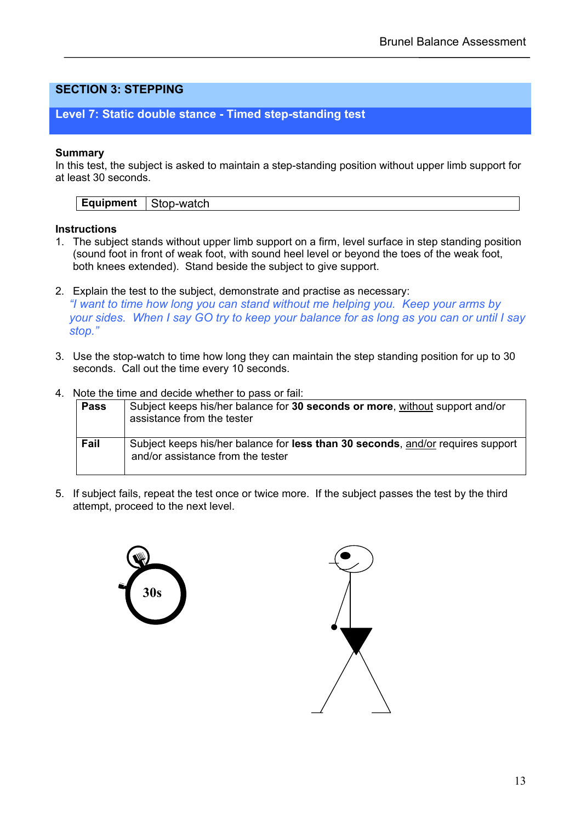## **Level 7: Static double stance - Timed step-standing test**

#### **Summary**

In this test, the subject is asked to maintain a step-standing position without upper limb support for at least 30 seconds.

**Equipment** | Stop-watch

### **Instructions**

- 1. The subject stands without upper limb support on a firm, level surface in step standing position (sound foot in front of weak foot, with sound heel level or beyond the toes of the weak foot, both knees extended). Stand beside the subject to give support.
- 2. Explain the test to the subject, demonstrate and practise as necessary: *"I want to time how long you can stand without me helping you. Keep your arms by your sides. When I say GO try to keep your balance for as long as you can or until I say stop."*
- 3. Use the stop-watch to time how long they can maintain the step standing position for up to 30 seconds. Call out the time every 10 seconds.
- 4. Note the time and decide whether to pass or fail:

| <b>Pass</b> | Subject keeps his/her balance for 30 seconds or more, without support and/or<br>assistance from the tester           |  |
|-------------|----------------------------------------------------------------------------------------------------------------------|--|
| Fail        | Subject keeps his/her balance for less than 30 seconds, and/or requires support<br>and/or assistance from the tester |  |



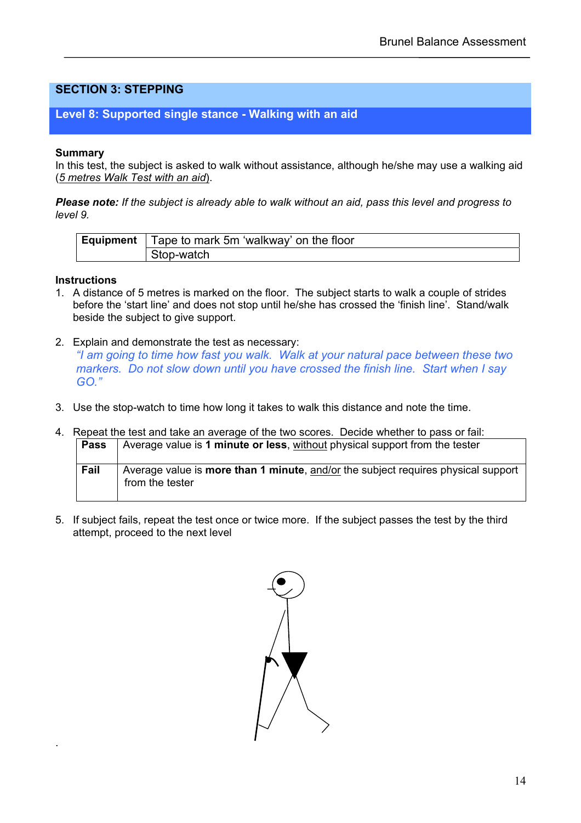## **Level 8: Supported single stance - Walking with an aid**

#### **Summary**

In this test, the subject is asked to walk without assistance, although he/she may use a walking aid (*5 metres Walk Test with an aid*).

*Please note: If the subject is already able to walk without an aid, pass this level and progress to level 9.* 

| <b>Equipment</b>   Tape to mark 5m 'walkway' on the floor |
|-----------------------------------------------------------|
| ⊩Stop-watch                                               |

#### **Instructions**

.

- 1. A distance of 5 metres is marked on the floor. The subject starts to walk a couple of strides before the 'start line' and does not stop until he/she has crossed the 'finish line'. Stand/walk beside the subject to give support.
- 2. Explain and demonstrate the test as necessary: *"I am going to time how fast you walk. Walk at your natural pace between these two markers. Do not slow down until you have crossed the finish line. Start when I say GO."*
- 3. Use the stop-watch to time how long it takes to walk this distance and note the time.

| 4. | Repeat the test and take an average of the two scores. Decide whether to pass or fail: |                                                                                                      |  |
|----|----------------------------------------------------------------------------------------|------------------------------------------------------------------------------------------------------|--|
|    | <b>Pass</b>                                                                            | Average value is 1 minute or less, without physical support from the tester                          |  |
|    | Fail                                                                                   | Average value is more than 1 minute, and/or the subject requires physical support<br>from the tester |  |

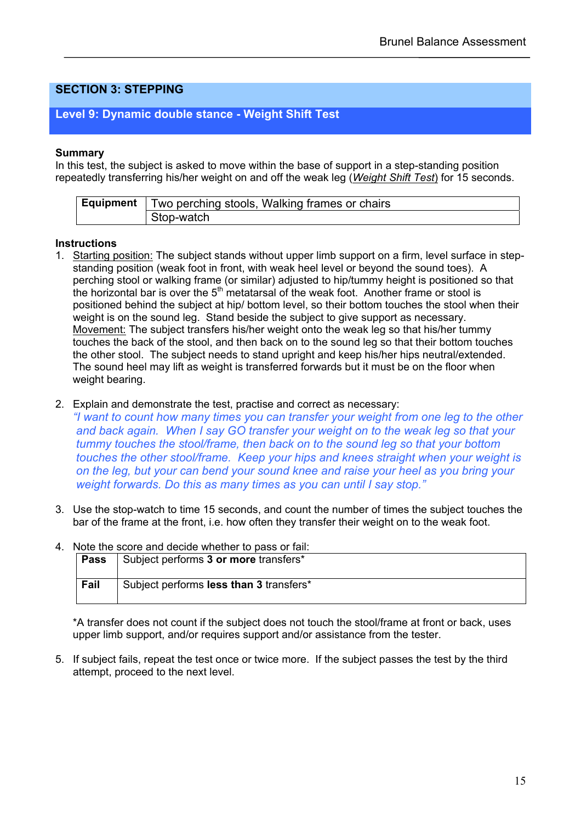## **Level 9: Dynamic double stance - Weight Shift Test**

#### **Summary**

In this test, the subject is asked to move within the base of support in a step-standing position repeatedly transferring his/her weight on and off the weak leg (*Weight Shift Test*) for 15 seconds.

| Equipment | Two perching stools, Walking frames or chairs |
|-----------|-----------------------------------------------|
|           | Stop-watch                                    |

#### **Instructions**

- 1. Starting position: The subject stands without upper limb support on a firm, level surface in stepstanding position (weak foot in front, with weak heel level or beyond the sound toes). A perching stool or walking frame (or similar) adjusted to hip/tummy height is positioned so that the horizontal bar is over the  $5<sup>th</sup>$  metatarsal of the weak foot. Another frame or stool is positioned behind the subject at hip/ bottom level, so their bottom touches the stool when their weight is on the sound leg. Stand beside the subject to give support as necessary. Movement: The subject transfers his/her weight onto the weak leg so that his/her tummy touches the back of the stool, and then back on to the sound leg so that their bottom touches the other stool. The subject needs to stand upright and keep his/her hips neutral/extended. The sound heel may lift as weight is transferred forwards but it must be on the floor when weight bearing.
- 2. Explain and demonstrate the test, practise and correct as necessary:

*"I want to count how many times you can transfer your weight from one leg to the other and back again. When I say GO transfer your weight on to the weak leg so that your tummy touches the stool/frame, then back on to the sound leg so that your bottom touches the other stool/frame. Keep your hips and knees straight when your weight is on the leg, but your can bend your sound knee and raise your heel as you bring your weight forwards. Do this as many times as you can until I say stop."*

3. Use the stop-watch to time 15 seconds, and count the number of times the subject touches the bar of the frame at the front, i.e. how often they transfer their weight on to the weak foot.

| . Note the score and decide whether to pass or fail: |                                         |
|------------------------------------------------------|-----------------------------------------|
| <b>Pass</b>                                          | Subject performs 3 or more transfers*   |
| Fail                                                 | Subject performs less than 3 transfers* |

4. Note the score and decide whether to pass or fail:

\*A transfer does not count if the subject does not touch the stool/frame at front or back, uses upper limb support, and/or requires support and/or assistance from the tester.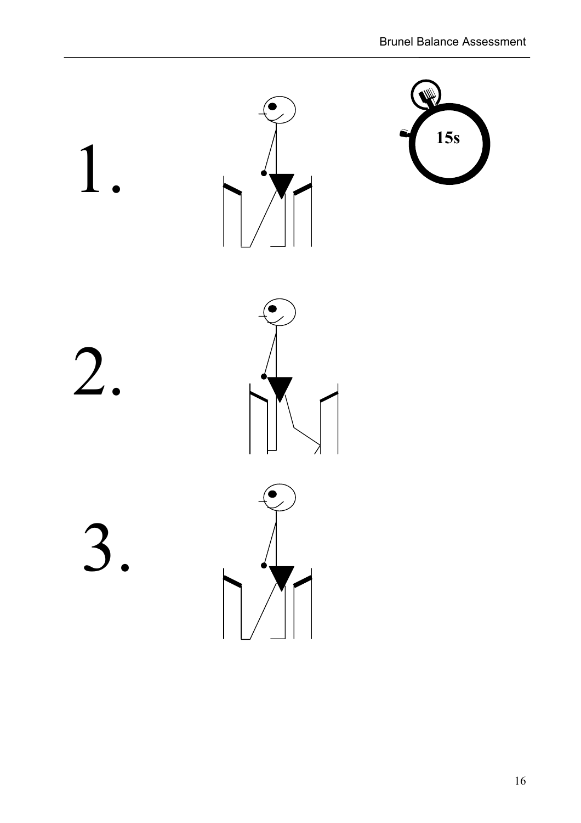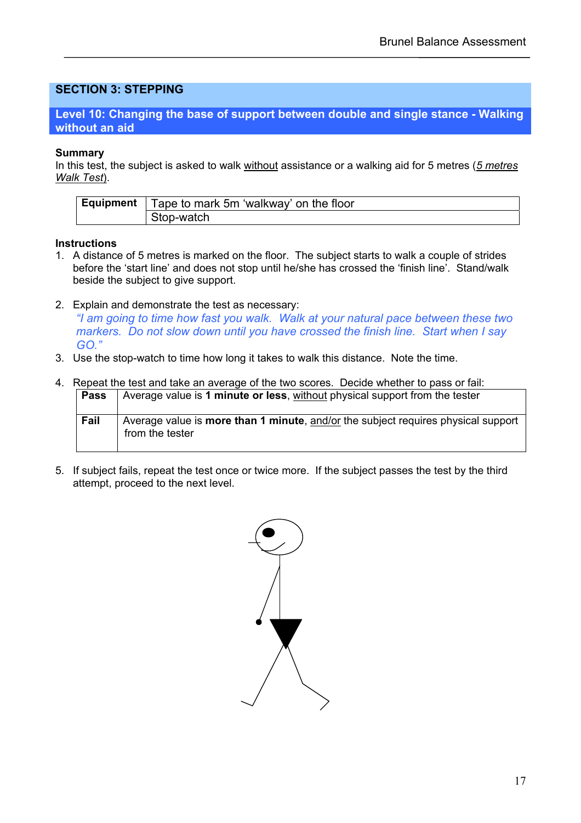### **Level 10: Changing the base of support between double and single stance - Walking without an aid**

#### **Summary**

In this test, the subject is asked to walk without assistance or a walking aid for 5 metres (*5 metres Walk Test*).

| Equipment | Tape to mark 5m 'walkway' on the floor |  |  |  |
|-----------|----------------------------------------|--|--|--|
|           | Stop-watch                             |  |  |  |

#### **Instructions**

- 1. A distance of 5 metres is marked on the floor. The subject starts to walk a couple of strides before the 'start line' and does not stop until he/she has crossed the 'finish line'. Stand/walk beside the subject to give support.
- 2. Explain and demonstrate the test as necessary:

*"I am going to time how fast you walk. Walk at your natural pace between these two markers. Do not slow down until you have crossed the finish line. Start when I say GO."*

3. Use the stop-watch to time how long it takes to walk this distance. Note the time.

#### 4. Repeat the test and take an average of the two scores. Decide whether to pass or fail: **Pass** Average value is **1 minute or less**, without physical support from the tester

| rass | Average value is 1 minute or less, without privated support from the tester                                  |
|------|--------------------------------------------------------------------------------------------------------------|
| Fail | Average value is <b>more than 1 minute</b> , and/or the subject requires physical support<br>from the tester |

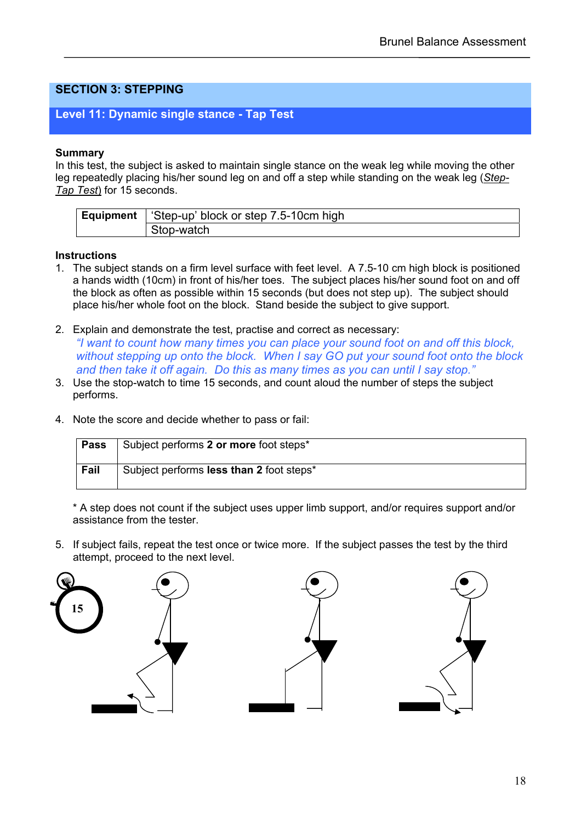## **Level 11: Dynamic single stance - Tap Test**

#### **Summary**

In this test, the subject is asked to maintain single stance on the weak leg while moving the other leg repeatedly placing his/her sound leg on and off a step while standing on the weak leg (*Step-Tap Test*) for 15 seconds.

| <b>Equipment</b>   'Step-up' block or step 7.5-10cm high |
|----------------------------------------------------------|
| Stop-watch                                               |

#### **Instructions**

- 1. The subject stands on a firm level surface with feet level. A 7.5-10 cm high block is positioned a hands width (10cm) in front of his/her toes. The subject places his/her sound foot on and off the block as often as possible within 15 seconds (but does not step up). The subject should place his/her whole foot on the block. Stand beside the subject to give support.
- 2. Explain and demonstrate the test, practise and correct as necessary: *"I want to count how many times you can place your sound foot on and off this block, without stepping up onto the block. When I say GO put your sound foot onto the block and then take it off again. Do this as many times as you can until I say stop."*
- 3. Use the stop-watch to time 15 seconds, and count aloud the number of steps the subject performs.
- 4. Note the score and decide whether to pass or fail:

| Pass | Subject performs 2 or more foot steps*   |
|------|------------------------------------------|
| Fail | Subject performs less than 2 foot steps* |

\* A step does not count if the subject uses upper limb support, and/or requires support and/or assistance from the tester.

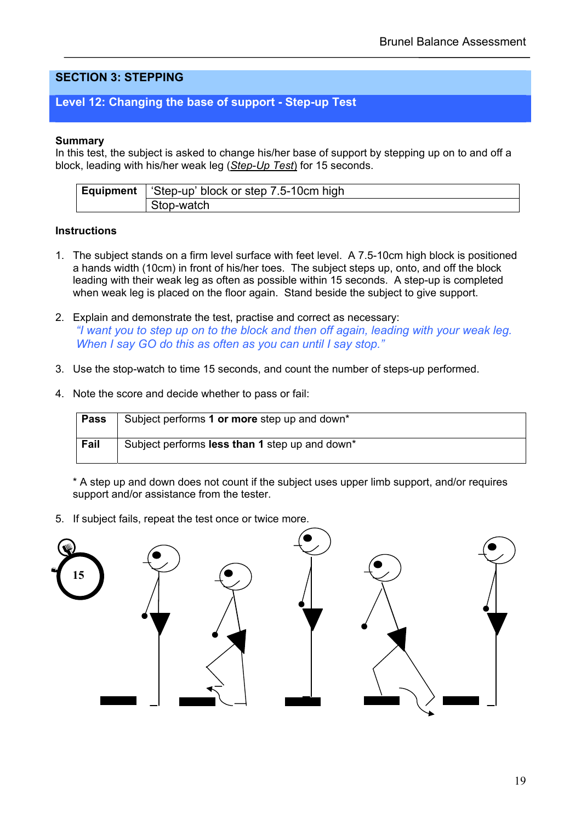## **Level 12: Changing the base of support - Step-up Test**

#### **Summary**

In this test, the subject is asked to change his/her base of support by stepping up on to and off a block, leading with his/her weak leg (*Step-Up Test*) for 15 seconds.

| <b>Equipment</b> | Step-up' block or step 7.5-10cm high |  |  |
|------------------|--------------------------------------|--|--|
|                  | Stop-watch                           |  |  |

#### **Instructions**

- 1. The subject stands on a firm level surface with feet level. A 7.5-10cm high block is positioned a hands width (10cm) in front of his/her toes. The subject steps up, onto, and off the block leading with their weak leg as often as possible within 15 seconds. A step-up is completed when weak leg is placed on the floor again. Stand beside the subject to give support.
- 2. Explain and demonstrate the test, practise and correct as necessary: *"I want you to step up on to the block and then off again, leading with your weak leg. When I say GO do this as often as you can until I say stop."*
- 3. Use the stop-watch to time 15 seconds, and count the number of steps-up performed.
- 4. Note the score and decide whether to pass or fail:

| <b>Pass</b> | Subject performs 1 or more step up and down*   |
|-------------|------------------------------------------------|
| Fail        | Subject performs less than 1 step up and down* |

\* A step up and down does not count if the subject uses upper limb support, and/or requires support and/or assistance from the tester.

5. If subject fails, repeat the test once or twice more.

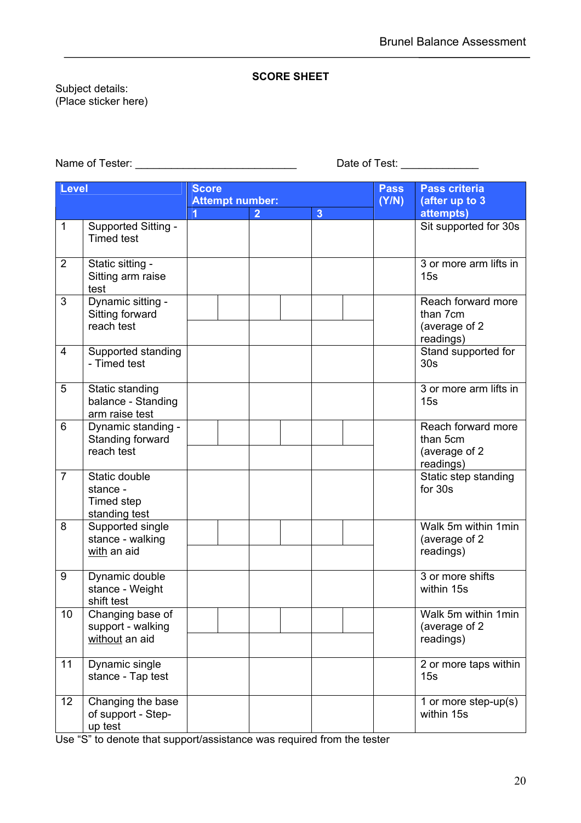#### **SCORE SHEET**

Subject details: (Place sticker here)

Name of Tester: \_\_\_\_\_\_\_\_\_\_\_\_\_\_\_\_\_\_\_\_\_\_\_\_\_\_\_ Date of Test: \_\_\_\_\_\_\_\_\_\_\_\_\_

| <b>Level</b>   |                                                          | <b>Score</b><br><b>Attempt number:</b> |                |                | <b>Pass</b><br>(Y/N) | <b>Pass criteria</b><br>(after up to 3                        |
|----------------|----------------------------------------------------------|----------------------------------------|----------------|----------------|----------------------|---------------------------------------------------------------|
|                |                                                          |                                        | $\overline{2}$ | $\overline{3}$ |                      | attempts)                                                     |
| 1              | Supported Sitting -<br><b>Timed test</b>                 |                                        |                |                |                      | Sit supported for 30s                                         |
| $\overline{2}$ | Static sitting -<br>Sitting arm raise<br>test            |                                        |                |                |                      | 3 or more arm lifts in<br>15s                                 |
| 3              | Dynamic sitting -<br>Sitting forward<br>reach test       |                                        |                |                |                      | Reach forward more<br>than 7cm<br>(average of 2)<br>readings) |
| $\overline{4}$ | Supported standing<br>- Timed test                       |                                        |                |                |                      | Stand supported for<br>30 <sub>s</sub>                        |
| 5              | Static standing<br>balance - Standing<br>arm raise test  |                                        |                |                |                      | 3 or more arm lifts in<br>15s                                 |
| 6              | Dynamic standing -<br>Standing forward<br>reach test     |                                        |                |                |                      | Reach forward more<br>than 5cm<br>(average of 2<br>readings)  |
| $\overline{7}$ | Static double<br>stance -<br>Timed step<br>standing test |                                        |                |                |                      | Static step standing<br>for 30s                               |
| 8              | Supported single<br>stance - walking<br>with an aid      |                                        |                |                |                      | Walk 5m within 1min<br>(average of 2<br>readings)             |
| 9              | Dynamic double<br>stance - Weight<br>shift test          |                                        |                |                |                      | 3 or more shifts<br>within 15s                                |
| 10             | Changing base of<br>support - walking<br>without an aid  |                                        |                |                |                      | Walk 5m within 1min<br>(average of 2<br>readings)             |
| 11             | Dynamic single<br>stance - Tap test                      |                                        |                |                |                      | 2 or more taps within<br>15s                                  |
| 12             | Changing the base<br>of support - Step-<br>up test       |                                        |                |                |                      | 1 or more step-up(s)<br>within 15s                            |

Use "S" to denote that support/assistance was required from the tester